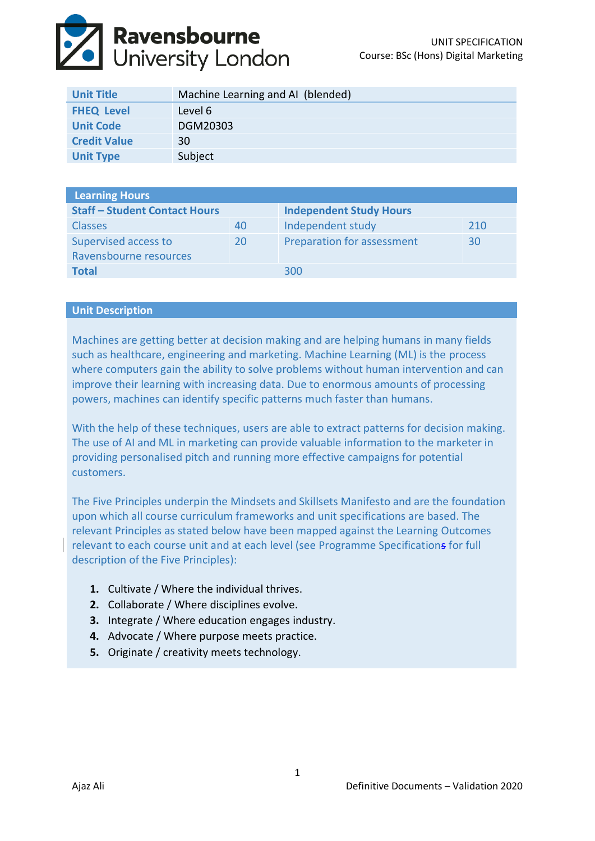

| <b>Unit Title</b>   | Machine Learning and AI (blended) |
|---------------------|-----------------------------------|
| <b>FHEQ Level</b>   | Level 6                           |
| <b>Unit Code</b>    | DGM20303                          |
| <b>Credit Value</b> | 30                                |
| <b>Unit Type</b>    | Subject                           |

| <b>Learning Hours</b>                |    |                                |     |  |  |
|--------------------------------------|----|--------------------------------|-----|--|--|
| <b>Staff - Student Contact Hours</b> |    | <b>Independent Study Hours</b> |     |  |  |
| <b>Classes</b>                       | 40 | Independent study              | 210 |  |  |
| Supervised access to                 | 20 | Preparation for assessment     | 30  |  |  |
| Ravensbourne resources               |    |                                |     |  |  |
| <b>Total</b>                         |    | 300                            |     |  |  |

## **Unit Description**

Machines are getting better at decision making and are helping humans in many fields such as healthcare, engineering and marketing. Machine Learning (ML) is the process where computers gain the ability to solve problems without human intervention and can improve their learning with increasing data. Due to enormous amounts of processing powers, machines can identify specific patterns much faster than humans.

With the help of these techniques, users are able to extract patterns for decision making. The use of AI and ML in marketing can provide valuable information to the marketer in providing personalised pitch and running more effective campaigns for potential customers.

The Five Principles underpin the Mindsets and Skillsets Manifesto and are the foundation upon which all course curriculum frameworks and unit specifications are based. The relevant Principles as stated below have been mapped against the Learning Outcomes relevant to each course unit and at each level (see Programme Specifications for full description of the Five Principles):

- **1.** Cultivate / Where the individual thrives.
- **2.** Collaborate / Where disciplines evolve.
- **3.** Integrate / Where education engages industry.
- **4.** Advocate / Where purpose meets practice.
- **5.** Originate / creativity meets technology.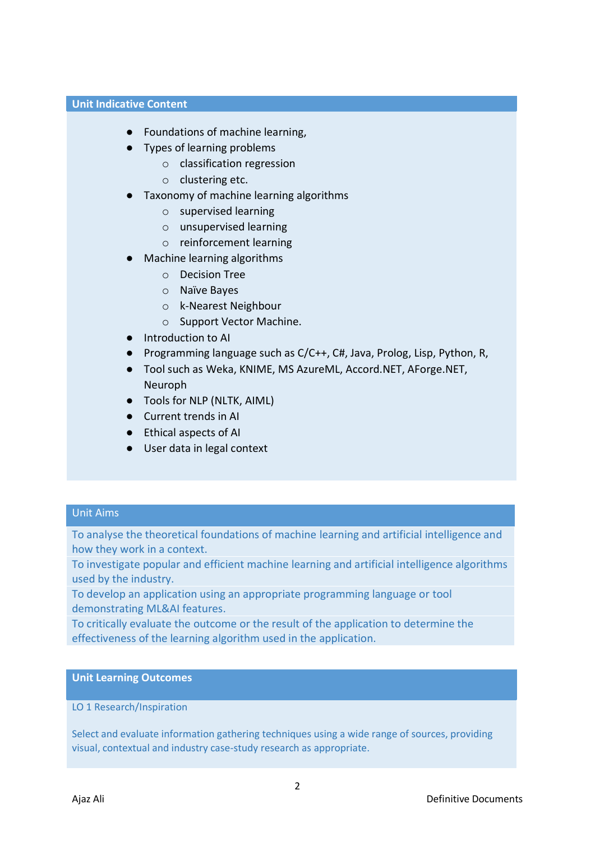## **Unit Indicative Content**

- Foundations of machine learning,
- Types of learning problems
	- o classification regression
	- o clustering etc.
- Taxonomy of machine learning algorithms
	- o supervised learning
	- o unsupervised learning
	- o reinforcement learning
- **Machine learning algorithms** 
	- o Decision Tree
	- o Naïve Bayes
	- o k-Nearest Neighbour
	- o Support Vector Machine.
- Introduction to AI
- Programming language such as C/C++, C#, Java, Prolog, Lisp, Python, R,
- Tool such as Weka, KNIME, MS AzureML, Accord.NET, AForge.NET, Neuroph
- Tools for NLP (NLTK, AIML)
- Current trends in AI
- Ethical aspects of AI
- User data in legal context

## Unit Aims

To analyse the theoretical foundations of machine learning and artificial intelligence and how they work in a context.

To investigate popular and efficient machine learning and artificial intelligence algorithms used by the industry.

To develop an application using an appropriate programming language or tool demonstrating ML&AI features.

To critically evaluate the outcome or the result of the application to determine the effectiveness of the learning algorithm used in the application.

#### **Unit Learning Outcomes**

## LO 1 Research/Inspiration

Select and evaluate information gathering techniques using a wide range of sources, providing visual, contextual and industry case-study research as appropriate.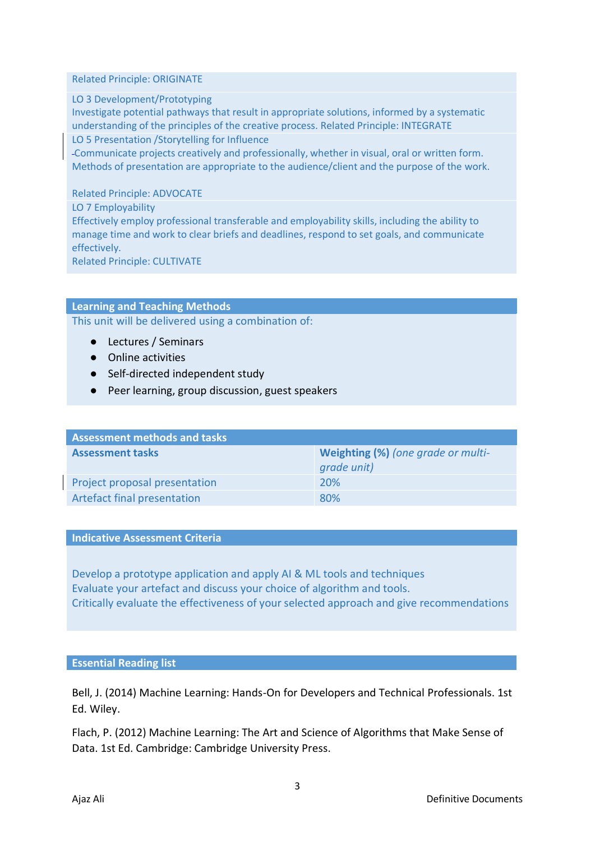#### Related Principle: ORIGINATE

## LO 3 Development/Prototyping

Investigate potential pathways that result in appropriate solutions, informed by a systematic understanding of the principles of the creative process. Related Principle: INTEGRATE

LO 5 Presentation /Storytelling for Influence

Communicate projects creatively and professionally, whether in visual, oral or written form. Methods of presentation are appropriate to the audience/client and the purpose of the work.

## Related Principle: ADVOCATE

LO 7 Employability

Effectively employ professional transferable and employability skills, including the ability to manage time and work to clear briefs and deadlines, respond to set goals, and communicate effectively.

Related Principle: CULTIVATE

## **Learning and Teaching Methods**

This unit will be delivered using a combination of:

- Lectures / Seminars
- Online activities
- Self-directed independent study
- Peer learning, group discussion, guest speakers

| <b>Assessment methods and tasks</b> |                                                   |  |  |
|-------------------------------------|---------------------------------------------------|--|--|
| <b>Assessment tasks</b>             | Weighting (%) (one grade or multi-<br>grade unit) |  |  |
| Project proposal presentation       | <b>20%</b>                                        |  |  |
| Artefact final presentation         | 80%                                               |  |  |

#### **Indicative Assessment Criteria**

Develop a prototype application and apply AI & ML tools and techniques Evaluate your artefact and discuss your choice of algorithm and tools. Critically evaluate the effectiveness of your selected approach and give recommendations

#### **Essential Reading list**

Bell, J. (2014) Machine Learning: Hands-On for Developers and Technical Professionals. 1st Ed. Wiley.

Flach, P. (2012) Machine Learning: The Art and Science of Algorithms that Make Sense of Data. 1st Ed. Cambridge: Cambridge University Press.